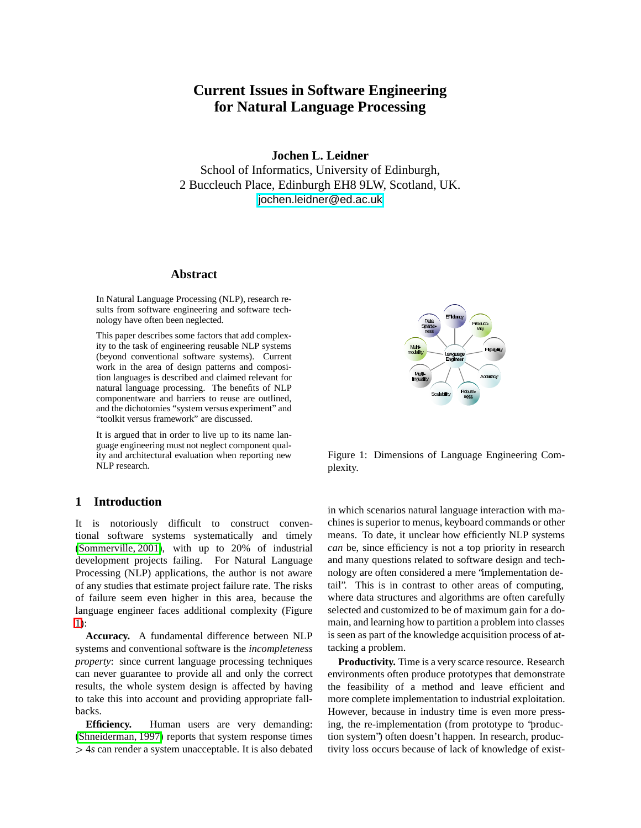# **Current Issues in Software Engineering for Natural Language Processing**

**Jochen L. Leidner** School of Informatics, University of Edinburgh, 2 Buccleuch Place, Edinburgh EH8 9LW, Scotland, UK. [jochen.leidner@ed.ac.uk](mailto:jochen.leidner@ed.ac.uk)

# **Abstract**

In Natural Language Processing (NLP), research results from software engineering and software technology have often been neglected.

This paper describes some factors that add complexity to the task of engineering reusable NLP systems (beyond conventional software systems). Current work in the area of design patterns and composition languages is described and claimed relevant for natural language processing. The benefits of NLP componentware and barriers to reuse are outlined, and the dichotomies "system versus experiment" and "toolkit versus framework" are discussed.

It is argued that in order to live up to its name language engineering must not neglect component quality and architectural evaluation when reporting new NLP research.

# **1 Introduction**

It is notoriously difficult to construct conventional software systems systematically and timely (Sommerville, 2001), with up to 20% of industrial development projects failing. For Natural Language Processing (NLP) applications, the author is not aware of any studies that estimate project failure rate. The risks of failure seem even higher in this area, because the language engineer faces additional complexity (Figure [1\)](#page-0-0):

**Accuracy.** A fundamental difference between NLP systems and conventional software is the *incompleteness property*: since current language processing techniques can never guarantee to provide all and only the correct results, the whole system design is affected by having to take this into account and providing appropriate fallbacks.

**Efficiency.** Human users are very demanding: (Shneiderman, 1997) reports that system response times 4*s* can render a system unacceptable. It is also debated



Figure 1: Dimensions of Language Engineering Complexity.

<span id="page-0-0"></span>in which scenarios natural language interaction with machines is superior to menus, keyboard commands or other means. To date, it unclear how efficiently NLP systems *can* be, since efficiency is not a top priority in research and many questions related to software design and technology are often considered a mere "implementation detail". This is in contrast to other areas of computing, where data structures and algorithms are often carefully selected and customized to be of maximum gain for a domain, and learning how to partition a problem into classes is seen as part of the knowledge acquisition process of attacking a problem.

**Productivity.** Time is a very scarce resource. Research environments often produce prototypes that demonstrate the feasibility of a method and leave efficient and more complete implementation to industrial exploitation. However, because in industry time is even more pressing, the re-implementation (from prototype to "production system") often doesn't happen. In research, productivity loss occurs because of lack of knowledge of exist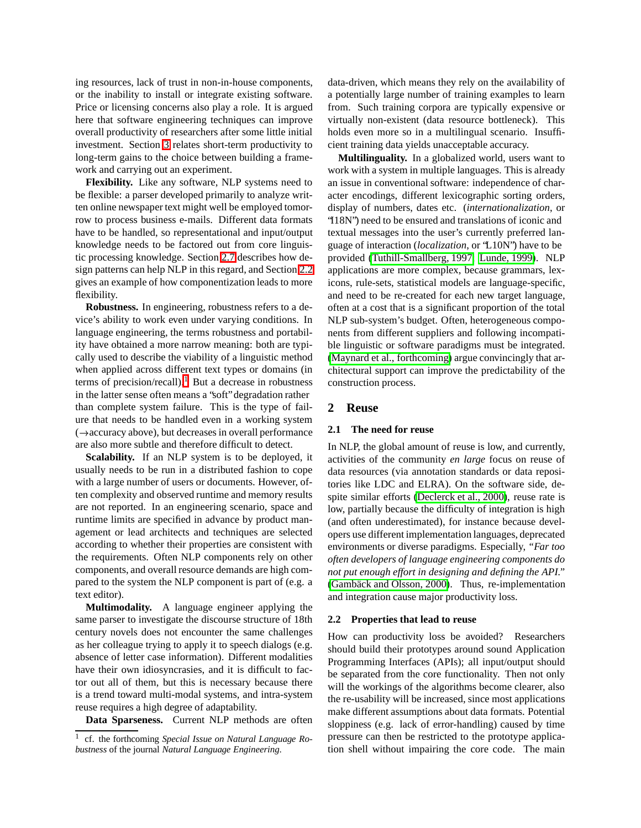ing resources, lack of trust in non-in-house components, or the inability to install or integrate existing software. Price or licensing concerns also play a role. It is argued here that software engineering techniques can improve overall productivity of researchers after some little initial investment. Section [3](#page-4-0) relates short-term productivity to long-term gains to the choice between building a framework and carrying out an experiment.

**Flexibility.** Like any software, NLP systems need to be flexible: a parser developed primarily to analyze written online newspaper text might well be employed tomorrow to process business e-mails. Different data formats have to be handled, so representational and input/output knowledge needs to be factored out from core linguistic processing knowledge. Section [2.7](#page-3-0) describes how design patterns can help NLP in this regard, and Section [2.2](#page-1-0) gives an example of how componentization leads to more flexibility.

**Robustness.** In engineering, robustness refers to a device's ability to work even under varying conditions. In language engineering, the terms robustness and portability have obtained a more narrow meaning: both are typically used to describe the viability of a linguistic method when applied across different text types or domains (in terms of precision/recall).<sup>[1](#page-1-1)</sup> But a decrease in robustness in the latter sense often means a "soft" degradation rather than complete system failure. This is the type of failure that needs to be handled even in a working system  $(\rightarrow$  accuracy above), but decreases in overall performance are also more subtle and therefore difficult to detect.

**Scalability.** If an NLP system is to be deployed, it usually needs to be run in a distributed fashion to cope with a large number of users or documents. However, often complexity and observed runtime and memory results are not reported. In an engineering scenario, space and runtime limits are specified in advance by product management or lead architects and techniques are selected according to whether their properties are consistent with the requirements. Often NLP components rely on other components, and overall resource demands are high compared to the system the NLP component is part of (e.g. a text editor).

**Multimodality.** A language engineer applying the same parser to investigate the discourse structure of 18th century novels does not encounter the same challenges as her colleague trying to apply it to speech dialogs (e.g. absence of letter case information). Different modalities have their own idiosyncrasies, and it is difficult to factor out all of them, but this is necessary because there is a trend toward multi-modal systems, and intra-system reuse requires a high degree of adaptability.

**Data Sparseness.** Current NLP methods are often

data-driven, which means they rely on the availability of a potentially large number of training examples to learn from. Such training corpora are typically expensive or virtually non-existent (data resource bottleneck). This holds even more so in a multilingual scenario. Insufficient training data yields unacceptable accuracy.

**Multilinguality.** In a globalized world, users want to work with a system in multiple languages. This is already an issue in conventional software: independence of character encodings, different lexicographic sorting orders, display of numbers, dates etc. (*internationalization*, or "I18N") need to be ensured and translations of iconic and textual messages into the user's currently preferred language of interaction (*localization*, or "L10N") have to be provided (Tuthill-Smallberg, 1997; Lunde, 1999). NLP applications are more complex, because grammars, lexicons, rule-sets, statistical models are language-specific, and need to be re-created for each new target language, often at a cost that is a significant proportion of the total NLP sub-system's budget. Often, heterogeneous components from different suppliers and following incompatible linguistic or software paradigms must be integrated. (Maynard et al., forthcoming) argue convincingly that architectural support can improve the predictability of the construction process.

## **2 Reuse**

#### **2.1 The need for reuse**

In NLP, the global amount of reuse is low, and currently, activities of the community *en large* focus on reuse of data resources (via annotation standards or data repositories like LDC and ELRA). On the software side, despite similar efforts (Declerck et al., 2000), reuse rate is low, partially because the difficulty of integration is high (and often underestimated), for instance because developers use different implementation languages, deprecated environments or diverse paradigms. Especially, *"Far too often developers of language engineering components do not put enough effort in designing and defining the API."* (Gambäck and Olsson, 2000). Thus, re-implementation and integration cause major productivity loss.

#### <span id="page-1-0"></span>**2.2 Properties that lead to reuse**

How can productivity loss be avoided? Researchers should build their prototypes around sound Application Programming Interfaces (APIs); all input/output should be separated from the core functionality. Then not only will the workings of the algorithms become clearer, also the re-usability will be increased, since most applications make different assumptions about data formats. Potential sloppiness (e.g. lack of error-handling) caused by time pressure can then be restricted to the prototype application shell without impairing the core code. The main

<span id="page-1-1"></span><sup>1</sup> cf. the forthcoming *Special Issue on Natural Language Robustness* of the journal *Natural Language Engineering*.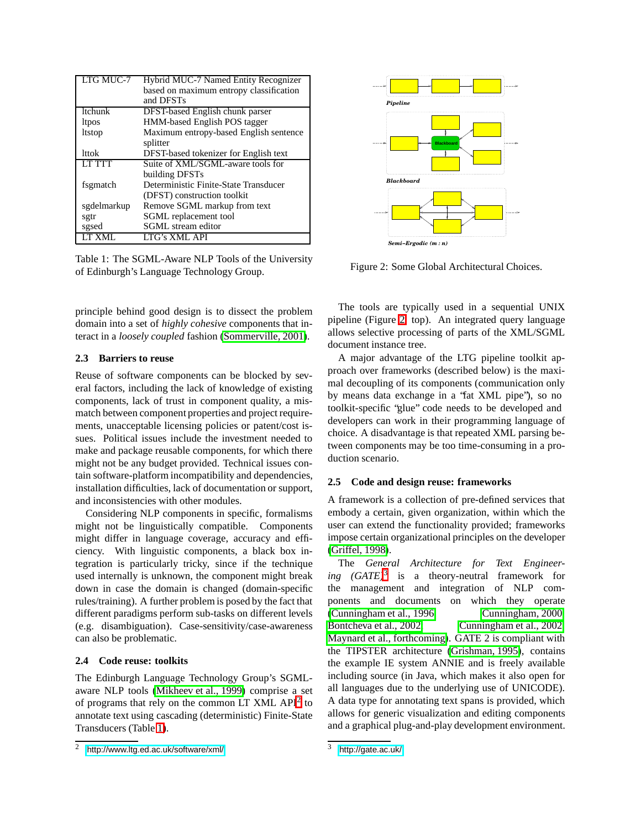| LTG MUC-7     | Hybrid MUC-7 Named Entity Recognizer    |
|---------------|-----------------------------------------|
|               | based on maximum entropy classification |
|               | and DFSTs                               |
| ltchunk       | DFST-based English chunk parser         |
| ltpos         | HMM-based English POS tagger            |
| ltstop        | Maximum entropy-based English sentence  |
|               | splitter                                |
| lttok         | DFST-based tokenizer for English text   |
| <b>LT TTT</b> | Suite of XML/SGML-aware tools for       |
|               | building DFSTs                          |
| fsgmatch      | Deterministic Finite-State Transducer   |
|               | (DFST) construction toolkit             |
| sgdelmarkup   | Remove SGML markup from text            |
| sgtr          | SGML replacement tool                   |
| sgsed         | <b>SGML</b> stream editor               |
| <b>LT XML</b> | LTG's XML API                           |

<span id="page-2-1"></span>Table 1: The SGML-Aware NLP Tools of the University of Edinburgh's Language Technology Group.

principle behind good design is to dissect the problem domain into a set of *highly cohesive* components that interact in a *loosely coupled* fashion (Sommerville, 2001).

## **2.3 Barriers to reuse**

Reuse of software components can be blocked by several factors, including the lack of knowledge of existing components, lack of trust in component quality, a mismatch between component properties and project requirements, unacceptable licensing policies or patent/cost issues. Political issues include the investment needed to make and package reusable components, for which there might not be any budget provided. Technical issues contain software-platform incompatibility and dependencies, installation difficulties, lack of documentation or support, and inconsistencies with other modules.

Considering NLP components in specific, formalisms might not be linguistically compatible. Components might differ in language coverage, accuracy and efficiency. With linguistic components, a black box integration is particularly tricky, since if the technique used internally is unknown, the component might break down in case the domain is changed (domain-specific rules/training). A further problem is posed by the fact that different paradigms perform sub-tasks on different levels (e.g. disambiguation). Case-sensitivity/case-awareness can also be problematic.

## **2.4 Code reuse: toolkits**

The Edinburgh Language Technology Group's SGMLaware NLP tools (Mikheev et al., 1999) comprise a set of programs that rely on the common LT XML  $API<sup>2</sup>$  $API<sup>2</sup>$  $API<sup>2</sup>$  to annotate text using cascading (deterministic) Finite-State Transducers (Table [1\)](#page-2-1).



Figure 2: Some Global Architectural Choices.

<span id="page-2-2"></span>The tools are typically used in a sequential UNIX pipeline (Figure [2,](#page-2-2) top). An integrated query language allows selective processing of parts of the XML/SGML document instance tree.

A major advantage of the LTG pipeline toolkit approach over frameworks (described below) is the maximal decoupling of its components (communication only by means data exchange in a "fat XML pipe"), so no toolkit-specific "glue" code needs to be developed and developers can work in their programming language of choice. A disadvantage is that repeated XML parsing between components may be too time-consuming in a production scenario.

#### **2.5 Code and design reuse: frameworks**

A framework is a collection of pre-defined services that embody a certain, given organization, within which the user can extend the functionality provided; frameworks impose certain organizational principles on the developer (Griffel, 1998).

The *General Architecture for Text Engineering (GATE)*[3](#page-2-3) is a theory-neutral framework for the management and integration of NLP components and documents on which they operate (Cunningham et al., 1996; Cunningham, 2000; Bontcheva et al., 2002; Cunningham et al., 2002; Maynard et al., forthcoming). GATE 2 is compliant with the TIPSTER architecture (Grishman, 1995), contains the example IE system ANNIE and is freely available including source (in Java, which makes it also open for all languages due to the underlying use of UNICODE). A data type for annotating text spans is provided, which allows for generic visualization and editing components and a graphical plug-and-play development environment.

<span id="page-2-0"></span><sup>2</sup> <http://www.ltg.ed.ac.uk/software/xml/>

<span id="page-2-3"></span><sup>3</sup> <http://gate.ac.uk/>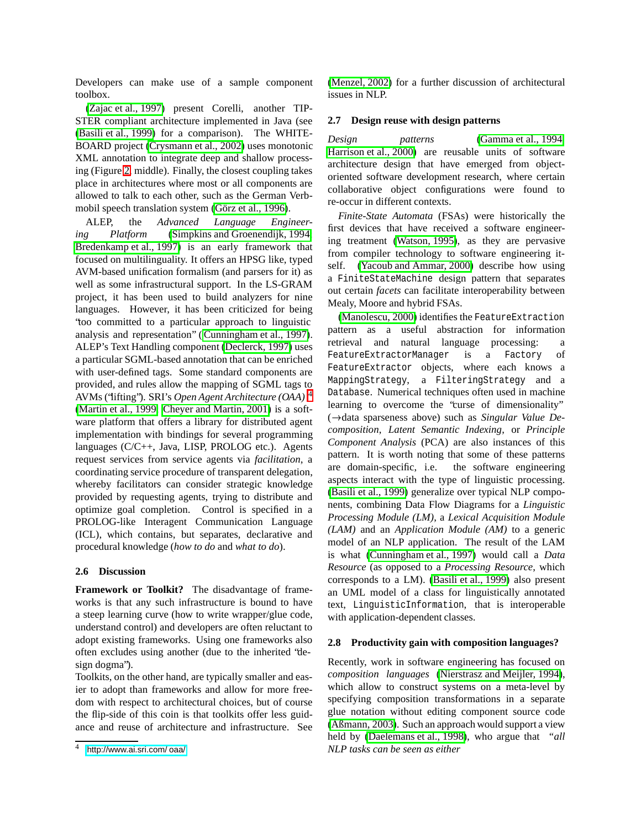Developers can make use of a sample component toolbox.

(Zajac et al., 1997) present Corelli, another TIP-STER compliant architecture implemented in Java (see (Basili et al., 1999) for a comparison). The WHITE-BOARD project (Crysmann et al., 2002) uses monotonic XML annotation to integrate deep and shallow processing (Figure [2,](#page-2-2) middle). Finally, the closest coupling takes place in architectures where most or all components are allowed to talk to each other, such as the German Verbmobil speech translation system (Görz et al., 1996).

ALEP, the *Advanced Language Engineering Platform* (Simpkins and Groenendijk, 1994; Bredenkamp et al., 1997) is an early framework that focused on multilinguality. It offers an HPSG like, typed AVM-based unification formalism (and parsers for it) as well as some infrastructural support. In the LS-GRAM project, it has been used to build analyzers for nine languages. However, it has been criticized for being "too committed to a particular approach to linguistic analysis and representation" (Cunningham et al., 1997). ALEP's Text Handling component (Declerck, 1997) uses a particular SGML-based annotation that can be enriched with user-defined tags. Some standard components are provided, and rules allow the mapping of SGML tags to AVMs ("lifting"). SRI's *Open Agent Architecture (OAA)* [4](#page-3-1) (Martin et al., 1999; Cheyer and Martin, 2001) is a software platform that offers a library for distributed agent implementation with bindings for several programming languages (C/C++, Java, LISP, PROLOG etc.). Agents request services from service agents via *facilitation*, a coordinating service procedure of transparent delegation, whereby facilitators can consider strategic knowledge provided by requesting agents, trying to distribute and optimize goal completion. Control is specified in a PROLOG-like Interagent Communication Language (ICL), which contains, but separates, declarative and procedural knowledge (*how to do* and *what to do*).

## **2.6 Discussion**

**Framework or Toolkit?** The disadvantage of frameworks is that any such infrastructure is bound to have a steep learning curve (how to write wrapper/glue code, understand control) and developers are often reluctant to adopt existing frameworks. Using one frameworks also often excludes using another (due to the inherited "design dogma").

Toolkits, on the other hand, are typically smaller and easier to adopt than frameworks and allow for more freedom with respect to architectural choices, but of course the flip-side of this coin is that toolkits offer less guidance and reuse of architecture and infrastructure. See (Menzel, 2002) for a further discussion of architectural issues in NLP.

#### <span id="page-3-0"></span>**2.7 Design reuse with design patterns**

*Design patterns* (Gamma et al., 1994; Harrison et al., 2000) are reusable units of software architecture design that have emerged from objectoriented software development research, where certain collaborative object configurations were found to re-occur in different contexts.

*Finite-State Automata* (FSAs) were historically the first devices that have received a software engineering treatment (Watson, 1995), as they are pervasive from compiler technology to software engineering itself. (Yacoub and Ammar, 2000) describe how using a FiniteStateMachine design pattern that separates out certain *facets* can facilitate interoperability between Mealy, Moore and hybrid FSAs.

(Manolescu, 2000) identifies the FeatureExtraction pattern as a useful abstraction for information retrieval and natural language processing: a FeatureExtractorManager is a Factory of FeatureExtractor objects, where each knows a MappingStrategy, a FilteringStrategy and a Database. Numerical techniques often used in machine learning to overcome the "curse of dimensionality" ( $\rightarrow$ data sparseness above) such as *Singular Value Decomposition*, *Latent Semantic Indexing*, or *Principle Component Analysis* (PCA) are also instances of this pattern. It is worth noting that some of these patterns are domain-specific, i.e. the software engineering aspects interact with the type of linguistic processing. (Basili et al., 1999) generalize over typical NLP components, combining Data Flow Diagrams for a *Linguistic Processing Module (LM)*, a *Lexical Acquisition Module (LAM)* and an *Application Module (AM)* to a generic model of an NLP application. The result of the LAM is what (Cunningham et al., 1997) would call a *Data Resource* (as opposed to a *Processing Resource*, which corresponds to a LM). (Basili et al., 1999) also present an UML model of a class for linguistically annotated text, LinguisticInformation, that is interoperable with application-dependent classes.

### **2.8 Productivity gain with composition languages?**

Recently, work in software engineering has focused on *composition languages* (Nierstrasz and Meijler, 1994), which allow to construct systems on a meta-level by specifying composition transformations in a separate glue notation without editing component source code (Aßmann, 2003). Such an approach would support a view held by (Daelemans et al., 1998), who argue that *"all NLP tasks can be seen as either*

<span id="page-3-1"></span>[http://www.ai.sri.com/](http://www.ai.sri.com/~oaa/) oaa/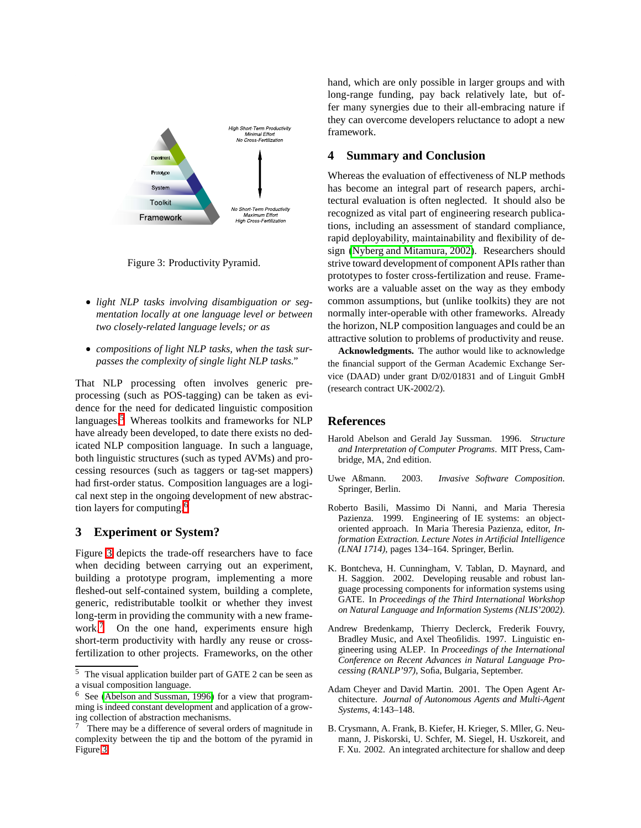

Figure 3: Productivity Pyramid.

- <span id="page-4-3"></span> *light NLP tasks involving disambiguation or segmentation locally at one language level or between two closely-related language levels; or as*
- *compositions of light NLP tasks, when the task surpasses the complexity of single light NLP tasks."*

That NLP processing often involves generic preprocessing (such as POS-tagging) can be taken as evidence for the need for dedicated linguistic composition languages.<sup>[5](#page-4-1)</sup> Whereas toolkits and frameworks for NLP have already been developed, to date there exists no dedicated NLP composition language. In such a language, both linguistic structures (such as typed AVMs) and processing resources (such as taggers or tag-set mappers) had first-order status. Composition languages are a logical next step in the ongoing development of new abstraction layers for computing.[6](#page-4-2)

## <span id="page-4-0"></span>**3 Experiment or System?**

Figure [3](#page-4-3) depicts the trade-off researchers have to face when deciding between carrying out an experiment, building a prototype program, implementing a more fleshed-out self-contained system, building a complete, generic, redistributable toolkit or whether they invest long-term in providing the community with a new frame-work.<sup>[7](#page-4-4)</sup> On the one hand, experiments ensure high short-term productivity with hardly any reuse or crossfertilization to other projects. Frameworks, on the other

hand, which are only possible in larger groups and with long-range funding, pay back relatively late, but offer many synergies due to their all-embracing nature if they can overcome developers reluctance to adopt a new framework.

# **4 Summary and Conclusion**

Whereas the evaluation of effectiveness of NLP methods has become an integral part of research papers, architectural evaluation is often neglected. It should also be recognized as vital part of engineering research publications, including an assessment of standard compliance, rapid deployability, maintainability and flexibility of design (Nyberg and Mitamura, 2002). Researchers should strive toward development of component APIs rather than prototypes to foster cross-fertilization and reuse. Frameworks are a valuable asset on the way as they embody common assumptions, but (unlike toolkits) they are not normally inter-operable with other frameworks. Already the horizon, NLP composition languages and could be an attractive solution to problems of productivity and reuse.

**Acknowledgments.** The author would like to acknowledge the financial support of the German Academic Exchange Service (DAAD) under grant D/02/01831 and of Linguit GmbH (research contract UK-2002/2).

## **References**

- Harold Abelson and Gerald Jay Sussman. 1996. *Structure and Interpretation of Computer Programs*. MIT Press, Cambridge, MA, 2nd edition.
- Uwe Aßmann. 2003. *Invasive Software Composition*. Springer, Berlin.
- Roberto Basili, Massimo Di Nanni, and Maria Theresia Pazienza. 1999. Engineering of IE systems: an objectoriented approach. In Maria Theresia Pazienza, editor, *Information Extraction. Lecture Notes in Artificial Intelligence (LNAI 1714)*, pages 134–164. Springer, Berlin.
- K. Bontcheva, H. Cunningham, V. Tablan, D. Maynard, and H. Saggion. 2002. Developing reusable and robust language processing components for information systems using GATE. In *Proceedings of the Third International Workshop on Natural Language and Information Systems (NLIS'2002)*.
- Andrew Bredenkamp, Thierry Declerck, Frederik Fouvry, Bradley Music, and Axel Theofilidis. 1997. Linguistic engineering using ALEP. In *Proceedings of the International Conference on Recent Advances in Natural Language Processing (RANLP'97)*, Sofia, Bulgaria, September.
- Adam Cheyer and David Martin. 2001. The Open Agent Architecture. *Journal of Autonomous Agents and Multi-Agent Systems*, 4:143–148.
- B. Crysmann, A. Frank, B. Kiefer, H. Krieger, S. Mller, G. Neumann, J. Piskorski, U. Schfer, M. Siegel, H. Uszkoreit, and F. Xu. 2002. An integrated architecture for shallow and deep

<span id="page-4-1"></span><sup>5</sup> The visual application builder part of GATE 2 can be seen as a visual composition language.

<span id="page-4-2"></span><sup>6</sup> See (Abelson and Sussman, 1996) for a view that programming is indeed constant development and application of a growing collection of abstraction mechanisms.

<span id="page-4-4"></span>There may be a difference of several orders of magnitude in complexity between the tip and the bottom of the pyramid in Figure [3.](#page-4-3)